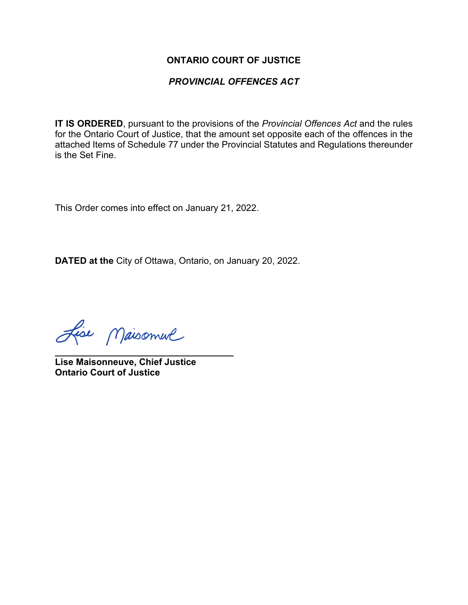### **ONTARIO COURT OF JUSTICE**

### *PROVINCIAL OFFENCES ACT*

**IT IS ORDERED**, pursuant to the provisions of the *Provincial Offences Act* and the rules for the Ontario Court of Justice, that the amount set opposite each of the offences in the attached Items of Schedule 77 under the Provincial Statutes and Regulations thereunder is the Set Fine.

This Order comes into effect on January 21, 2022.

**DATED at the** City of Ottawa, Ontario, on January 20, 2022.

Lise Maisonnue

**\_\_\_\_\_\_\_\_\_\_\_\_\_\_\_\_\_\_\_\_\_\_\_\_\_\_\_\_\_\_\_\_\_\_\_ Lise Maisonneuve, Chief Justice Ontario Court of Justice**